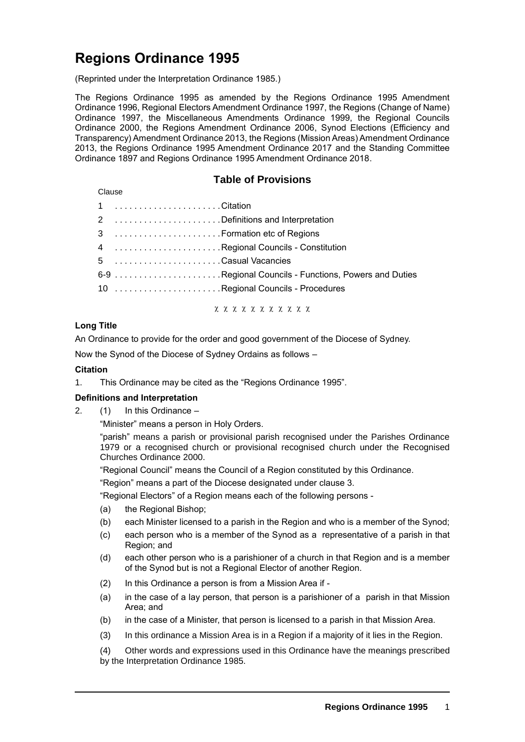# **Regions Ordinance 1995**

(Reprinted under the Interpretation Ordinance 1985.)

The Regions Ordinance 1995 as amended by the Regions Ordinance 1995 Amendment Ordinance 1996, Regional Electors Amendment Ordinance 1997, the Regions (Change of Name) Ordinance 1997, the Miscellaneous Amendments Ordinance 1999, the Regional Councils Ordinance 2000, the Regions Amendment Ordinance 2006, Synod Elections (Efficiency and Transparency) Amendment Ordinance 2013, the Regions (Mission Areas) Amendment Ordinance 2013, the Regions Ordinance 1995 Amendment Ordinance 2017 and the Standing Committee Ordinance 1897 and Regions Ordinance 1995 Amendment Ordinance 2018.

# **Table of Provisions**

| Clause |                             |                                                      |
|--------|-----------------------------|------------------------------------------------------|
|        |                             |                                                      |
|        |                             | 2 Definitions and Interpretation                     |
|        | 3  Formation etc of Regions |                                                      |
|        |                             | 4 Regional Councils - Constitution                   |
|        | 5 Casual Vacancies          |                                                      |
|        |                             | 6-9 Regional Councils - Functions, Powers and Duties |
|        |                             | 10 Regional Councils - Procedures                    |
|        |                             |                                                      |

x x x x x x x x x x x

# **Long Title**

An Ordinance to provide for the order and good government of the Diocese of Sydney.

Now the Synod of the Diocese of Sydney Ordains as follows –

# **Citation**

1. This Ordinance may be cited as the "Regions Ordinance 1995".

# **Definitions and Interpretation**

2. (1) In this Ordinance –

"Minister" means a person in Holy Orders.

"parish" means a parish or provisional parish recognised under the Parishes Ordinance 1979 or a recognised church or provisional recognised church under the Recognised Churches Ordinance 2000.

"Regional Council" means the Council of a Region constituted by this Ordinance.

"Region" means a part of the Diocese designated under clause 3.

"Regional Electors" of a Region means each of the following persons -

- (a) the Regional Bishop;
- (b) each Minister licensed to a parish in the Region and who is a member of the Synod;
- (c) each person who is a member of the Synod as a representative of a parish in that Region; and
- (d) each other person who is a parishioner of a church in that Region and is a member of the Synod but is not a Regional Elector of another Region.
- (2) In this Ordinance a person is from a Mission Area if -
- (a) in the case of a lay person, that person is a parishioner of a parish in that Mission Area; and
- (b) in the case of a Minister, that person is licensed to a parish in that Mission Area.
- (3) In this ordinance a Mission Area is in a Region if a majority of it lies in the Region.

(4) Other words and expressions used in this Ordinance have the meanings prescribed by the Interpretation Ordinance 1985.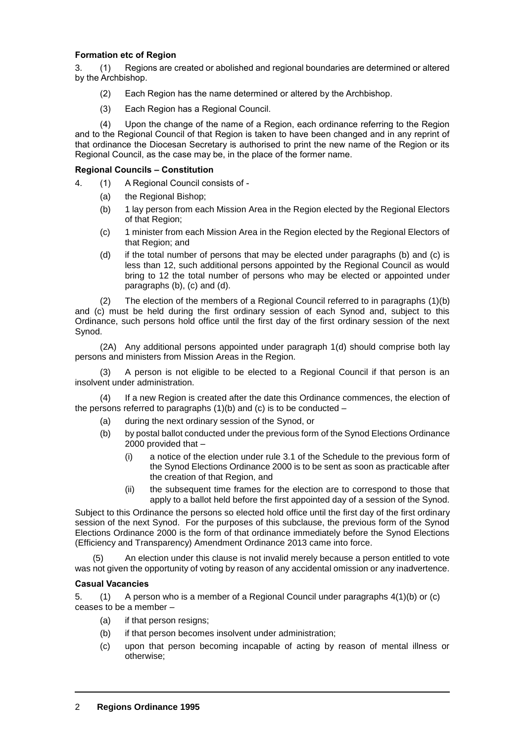# **Formation etc of Region**

3. (1) Regions are created or abolished and regional boundaries are determined or altered by the Archbishop.

- (2) Each Region has the name determined or altered by the Archbishop.
- (3) Each Region has a Regional Council.

(4) Upon the change of the name of a Region, each ordinance referring to the Region and to the Regional Council of that Region is taken to have been changed and in any reprint of that ordinance the Diocesan Secretary is authorised to print the new name of the Region or its Regional Council, as the case may be, in the place of the former name.

#### **Regional Councils – Constitution**

- 4. (1) A Regional Council consists of
	- (a) the Regional Bishop;
	- (b) 1 lay person from each Mission Area in the Region elected by the Regional Electors of that Region;
	- (c) 1 minister from each Mission Area in the Region elected by the Regional Electors of that Region; and
	- (d) if the total number of persons that may be elected under paragraphs (b) and (c) is less than 12, such additional persons appointed by the Regional Council as would bring to 12 the total number of persons who may be elected or appointed under paragraphs (b), (c) and (d).

(2) The election of the members of a Regional Council referred to in paragraphs (1)(b) and (c) must be held during the first ordinary session of each Synod and, subject to this Ordinance, such persons hold office until the first day of the first ordinary session of the next Synod.

(2A) Any additional persons appointed under paragraph 1(d) should comprise both lay persons and ministers from Mission Areas in the Region.

(3) A person is not eligible to be elected to a Regional Council if that person is an insolvent under administration.

(4) If a new Region is created after the date this Ordinance commences, the election of the persons referred to paragraphs  $(1)(b)$  and  $(c)$  is to be conducted –

- (a) during the next ordinary session of the Synod, or
- (b) by postal ballot conducted under the previous form of the Synod Elections Ordinance 2000 provided that –
	- (i) a notice of the election under rule 3.1 of the Schedule to the previous form of the Synod Elections Ordinance 2000 is to be sent as soon as practicable after the creation of that Region, and
	- (ii) the subsequent time frames for the election are to correspond to those that apply to a ballot held before the first appointed day of a session of the Synod.

Subject to this Ordinance the persons so elected hold office until the first day of the first ordinary session of the next Synod. For the purposes of this subclause, the previous form of the Synod Elections Ordinance 2000 is the form of that ordinance immediately before the Synod Elections (Efficiency and Transparency) Amendment Ordinance 2013 came into force.

An election under this clause is not invalid merely because a person entitled to vote was not given the opportunity of voting by reason of any accidental omission or any inadvertence.

#### **Casual Vacancies**

5. (1) A person who is a member of a Regional Council under paragraphs 4(1)(b) or (c) ceases to be a member –

- (a) if that person resigns;
- (b) if that person becomes insolvent under administration;
- (c) upon that person becoming incapable of acting by reason of mental illness or otherwise;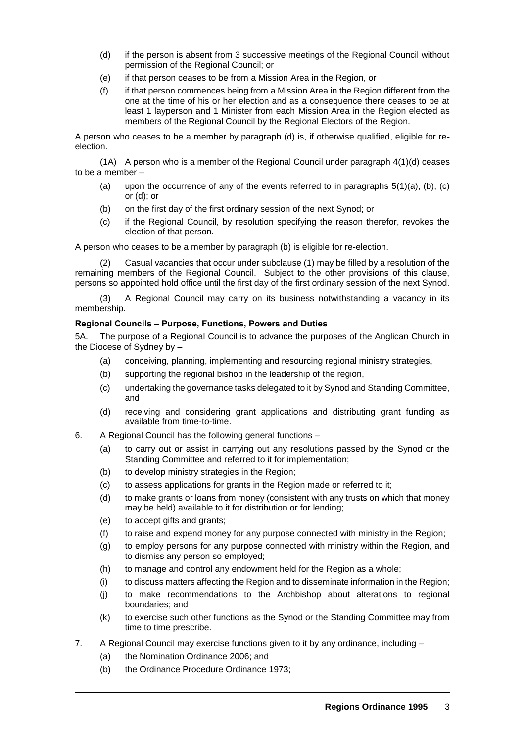- (d) if the person is absent from 3 successive meetings of the Regional Council without permission of the Regional Council; or
- (e) if that person ceases to be from a Mission Area in the Region, or
- (f) if that person commences being from a Mission Area in the Region different from the one at the time of his or her election and as a consequence there ceases to be at least 1 layperson and 1 Minister from each Mission Area in the Region elected as members of the Regional Council by the Regional Electors of the Region.

A person who ceases to be a member by paragraph (d) is, if otherwise qualified, eligible for reelection.

 $(1A)$  A person who is a member of the Regional Council under paragraph  $4(1)(d)$  ceases to be a member –

- (a) upon the occurrence of any of the events referred to in paragraphs  $5(1)(a)$ ,  $(b)$ ,  $(c)$ or (d); or
- (b) on the first day of the first ordinary session of the next Synod; or
- (c) if the Regional Council, by resolution specifying the reason therefor, revokes the election of that person.

A person who ceases to be a member by paragraph (b) is eligible for re-election.

(2) Casual vacancies that occur under subclause (1) may be filled by a resolution of the remaining members of the Regional Council. Subject to the other provisions of this clause, persons so appointed hold office until the first day of the first ordinary session of the next Synod.

(3) A Regional Council may carry on its business notwithstanding a vacancy in its membership.

# **Regional Councils – Purpose, Functions, Powers and Duties**

5A. The purpose of a Regional Council is to advance the purposes of the Anglican Church in the Diocese of Sydney by –

- (a) conceiving, planning, implementing and resourcing regional ministry strategies,
- (b) supporting the regional bishop in the leadership of the region,
- (c) undertaking the governance tasks delegated to it by Synod and Standing Committee, and
- (d) receiving and considering grant applications and distributing grant funding as available from time-to-time.
- 6. A Regional Council has the following general functions
	- (a) to carry out or assist in carrying out any resolutions passed by the Synod or the Standing Committee and referred to it for implementation;
	- (b) to develop ministry strategies in the Region;
	- (c) to assess applications for grants in the Region made or referred to it;
	- (d) to make grants or loans from money (consistent with any trusts on which that money may be held) available to it for distribution or for lending;
	- (e) to accept gifts and grants;
	- (f) to raise and expend money for any purpose connected with ministry in the Region;
	- (g) to employ persons for any purpose connected with ministry within the Region, and to dismiss any person so employed;
	- (h) to manage and control any endowment held for the Region as a whole;
	- (i) to discuss matters affecting the Region and to disseminate information in the Region;
	- (j) to make recommendations to the Archbishop about alterations to regional boundaries; and
	- (k) to exercise such other functions as the Synod or the Standing Committee may from time to time prescribe.
- 7. A Regional Council may exercise functions given to it by any ordinance, including
	- (a) the Nomination Ordinance 2006; and
	- (b) the Ordinance Procedure Ordinance 1973;